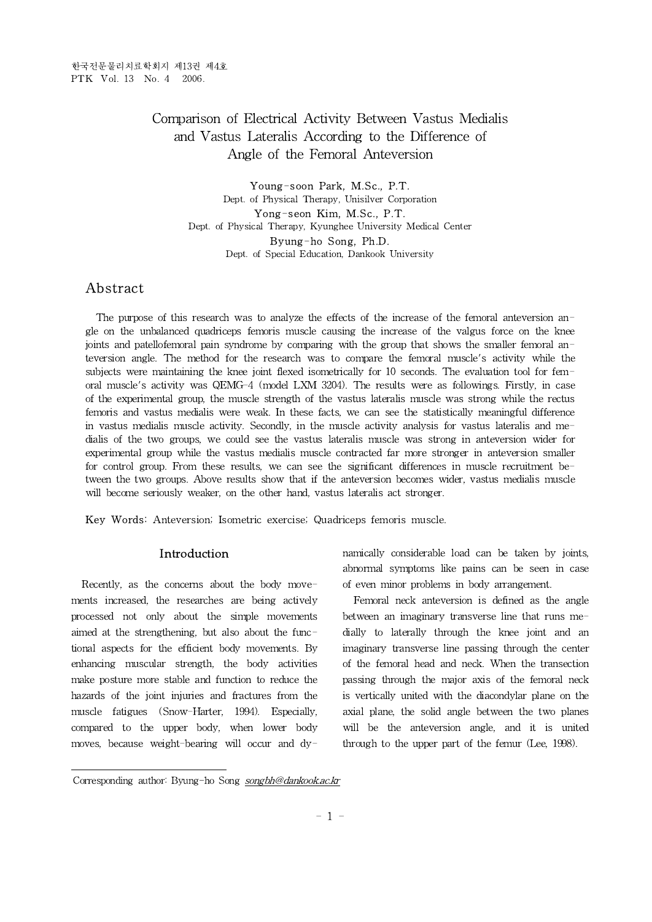# Comparison of Electrical Activity Between Vastus Medialis and Vastus Lateralis According to the Difference of Angle of the Femoral Anteversion

Young-soon Park, M.Sc., P.T. Dept. of Physical Therapy, Unisilver Corporation Yong-seon Kim, M.Sc., P.T. Dept. of Physical Therapy, Kyunghee University Medical Center Byung-ho Song, Ph.D. Dept. of Special Education, Dankook University

# **Abstract**

The purpose of this research was to analyze the effects of the increase of the femoral anteversion angle on the unbalanced quadriceps femoris muscle causing the increase of the valgus force on the knee joints and patellofemoral pain syndrome by comparing with the group that shows the smaller femoral anteversion angle. The method for the research was to compare the femoral muscle's activity while the subjects were maintaining the knee joint flexed isometrically for 10 seconds. The evaluation tool for femoral muscle's activity was QEMG-4 (model LXM 3204). The results were as followings. Firstly, in case of the experimental group, the muscle strength of the vastus lateralis muscle was strong while the rectus femoris and vastus medialis were weak. In these facts, we can see the statistically meaningful difference in vastus medialis muscle activity. Secondly, in the muscle activity analysis for vastus lateralis and medialis of the two groups, we could see the vastus lateralis muscle was strong in anteversion wider for experimental group while the vastus medialis muscle contracted far more stronger in anteversion smaller for control group. From these results, we can see the significant differences in muscle recruitment between the two groups. Above results show that if the anteversion becomes wider, vastus medialis muscle will become seriously weaker, on the other hand, vastus lateralis act stronger.

Key Words: Anteversion; Isometric exercise; Quadriceps femoris muscle.

## Introduction

Recently, as the concerns about the body movements increased, the researches are being actively processed not only about the simple movements aimed at the strengthening, but also about the functional aspects for the efficient body movements. By enhancing muscular strength, the body activities make posture more stable and function to reduce the hazards of the joint injuries and fractures from the muscle fatigues (Snow-Harter, 1994). Especially, compared to the upper body, when lower body moves, because weight-bearing will occur and dy-

namically considerable load can be taken by joints, abnormal symptoms like pains can be seen in case of even minor problems in body arrangement.

Femoral neck anteversion is defined as the angle between an imaginary transverse line that runs medially to laterally through the knee joint and an imaginary transverse line passing through the center of the femoral head and neck. When the transection passing through the major axis of the femoral neck is vertically united with the diacondylar plane on the axial plane, the solid angle between the two planes will be the anteversion angle, and it is united through to the upper part of the femur (Lee, 1998).

Corresponding author: Byung-ho Song songbh@dankook.ac.kr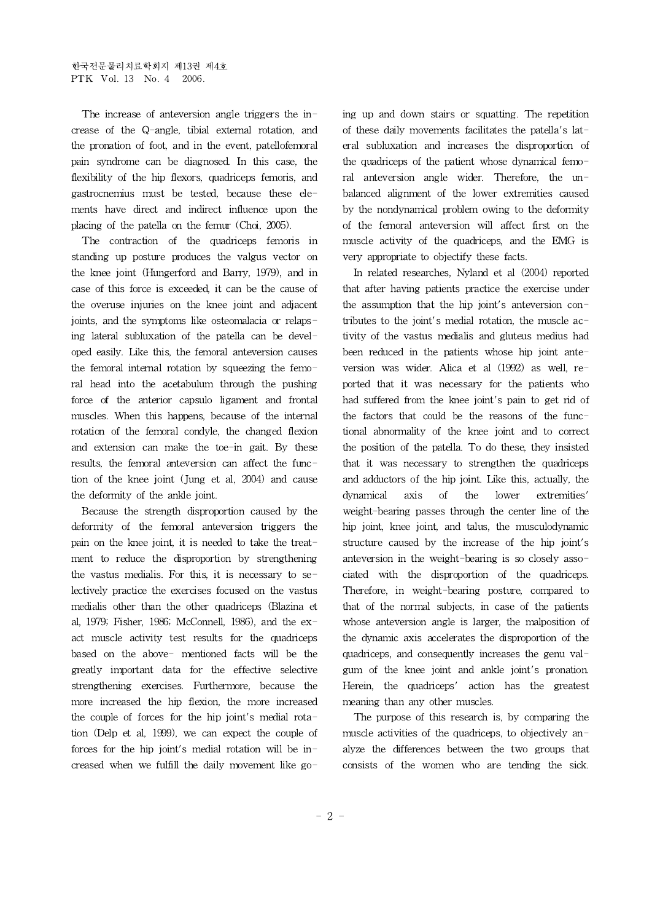The increase of anteversion angle triggers the increase of the Q-angle, tibial external rotation, and the pronation of foot, and in the event, patellofemoral pain syndrome can be diagnosed. In this case, the flexibility of the hip flexors, quadriceps femoris, and gastrocnemius must be tested, because these elements have direct and indirect influence upon the placing of the patella on the femur (Choi, 2005).

The contraction of the quadriceps femoris in standing up posture produces the valgus vector on the knee joint (Hungerford and Barry, 1979), and in case of this force is exceeded, it can be the cause of the overuse injuries on the knee joint and adjacent joints, and the symptoms like osteomalacia or relapsing lateral subluxation of the patella can be developed easily. Like this, the femoral anteversion causes the femoral internal rotation by squeezing the femoral head into the acetabulum through the pushing force of the anterior capsulo ligament and frontal muscles. When this happens, because of the internal rotation of the femoral condyle, the changed flexion and extension can make the toe-in gait. By these results, the femoral anteversion can affect the function of the knee joint (Jung et al, 2004) and cause the deformity of the ankle joint.

Because the strength disproportion caused by the deformity of the femoral anteversion triggers the pain on the knee joint, it is needed to take the treatment to reduce the disproportion by strengthening the vastus medialis. For this, it is necessary to selectively practice the exercises focused on the vastus medialis other than the other quadriceps (Blazina et al, 1979; Fisher, 1986; McConnell, 1986), and the exact muscle activity test results for the quadriceps based on the above- mentioned facts will be the greatly important data for the effective selective strengthening exercises. Furthermore, because the more increased the hip flexion, the more increased the couple of forces for the hip joint's medial rotation (Delp et al, 1999), we can expect the couple of forces for the hip joint's medial rotation will be increased when we fulfill the daily movement like going up and down stairs or squatting. The repetition of these daily movements facilitates the patella's lateral subluxation and increases the disproportion of the quadriceps of the patient whose dynamical femoral anteversion angle wider. Therefore, the unbalanced alignment of the lower extremities caused by the nondynamical problem owing to the deformity of the femoral anteversion will affect first on the muscle activity of the quadriceps, and the EMG is very appropriate to objectify these facts.

In related researches, Nyland et al (2004) reported that after having patients practice the exercise under the assumption that the hip joint's anteversion contributes to the joint's medial rotation, the muscle activity of the vastus medialis and gluteus medius had been reduced in the patients whose hip joint anteversion was wider. Alica et al (1992) as well, reported that it was necessary for the patients who had suffered from the knee joint's pain to get rid of the factors that could be the reasons of the functional abnormality of the knee joint and to correct the position of the patella. To do these, they insisted that it was necessary to strengthen the quadriceps and adductors of the hip joint. Like this, actually, the dynamical axis of the lower extremities' weight-bearing passes through the center line of the hip joint, knee joint, and talus, the musculodynamic structure caused by the increase of the hip joint's anteversion in the weight-bearing is so closely associated with the disproportion of the quadriceps. Therefore, in weight-bearing posture, compared to that of the normal subjects, in case of the patients whose anteversion angle is larger, the malposition of the dynamic axis accelerates the disproportion of the quadriceps, and consequently increases the genu valgum of the knee joint and ankle joint's pronation. Herein, the quadriceps' action has the greatest meaning than any other muscles.

The purpose of this research is, by comparing the muscle activities of the quadriceps, to objectively analyze the differences between the two groups that consists of the women who are tending the sick.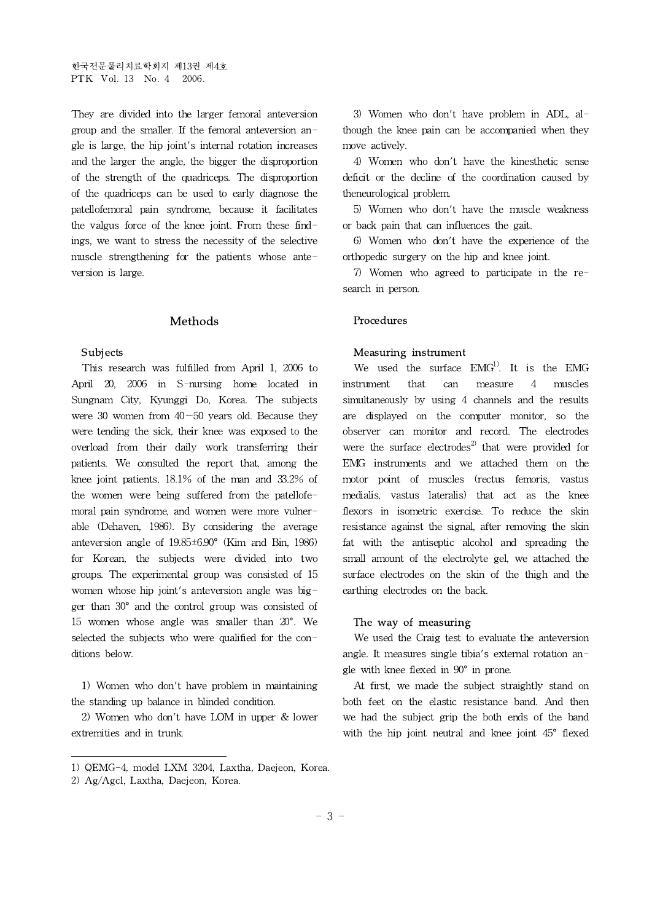한국전문물리치료학회지 제13권 제4호 PTK Vol. 13 No. 4 2006.

They are divided into the larger femoral anteversion group and the smaller. If the femoral anteversion angle is large, the hip joint's internal rotation increases and the larger the angle, the bigger the disproportion of the strength of the quadriceps. The disproportion of the quadriceps can be used to early diagnose the patellofemoral pain syndrome, because it facilitates the valgus force of the knee joint. From these findings, we want to stress the necessity of the selective muscle strengthening for the patients whose anteversion is large.

#### Methods

#### Subjects

This research was fulfilled from April 1, 2006 to April 20, 2006 in S-nursing home located in Sungnam City, Kyunggi Do, Korea. The subjects were 30 women from  $40 - 50$  years old. Because they were tending the sick, their knee was exposed to the overload from their daily work transferring their patients. We consulted the report that, among the knee joint patients, 18.1% of the man and 33.2% of the women were being suffered from the patellofemoral pain syndrome, and women were more vulnerable (Dehaven, 1986). By considering the average anteversion angle of 19.85±6.90° (Kim and Bin, 1986) for Korean, the subjects were divided into two groups. The experimental group was consisted of 15 women whose hip joint's anteversion angle was bigger than 30° and the control group was consisted of 15 women whose angle was smaller than 20°. We selected the subjects who were qualified for the conditions below.

1) Women who don't have problem in maintaining the standing up balance in blinded condition.

2) Women who don't have LOM in upper  $&$  lower extremities and in trunk.

3) Women who don't have problem in ADL, although the knee pain can be accompanied when they move actively.

4) Women who don't have the kinesthetic sense deficit or the decline of the coordination caused by theneurological problem.

5) Women who don't have the muscle weakness or back pain that can influences the gait.

6) Women who don't have the experience of the orthopedic surgery on the hip and knee joint.

7) Women who agreed to participate in the research in person.

#### Procedures

#### Measuring instrument

We used the surface  $EMG<sup>1</sup>$ . It is the EMG instrument that can measure 4 muscles simultaneously by using 4 channels and the results are displayed on the computer monitor, so the observer can monitor and record. The electrodes were the surface electrodes<sup>2)</sup> that were provided for EMG instruments and we attached them on the motor point of muscles (rectus femoris, vastus medialis, vastus lateralis) that act as the knee flexors in isometric exercise. To reduce the skin resistance against the signal, after removing the skin fat with the antiseptic alcohol and spreading the small amount of the electrolyte gel, we attached the surface electrodes on the skin of the thigh and the earthing electrodes on the back.

#### The way of measuring

We used the Craig test to evaluate the anteversion angle. It measures single tibia's external rotation angle with knee flexed in 90° in prone.

At first, we made the subject straightly stand on both feet on the elastic resistance band. And then we had the subject grip the both ends of the band with the hip joint neutral and knee joint 45° flexed

<sup>1)</sup> QEMG-4, model LXM 3204, Laxtha, Daejeon, Korea.

<sup>2)</sup> Ag/Agcl, Laxtha, Daejeon, Korea.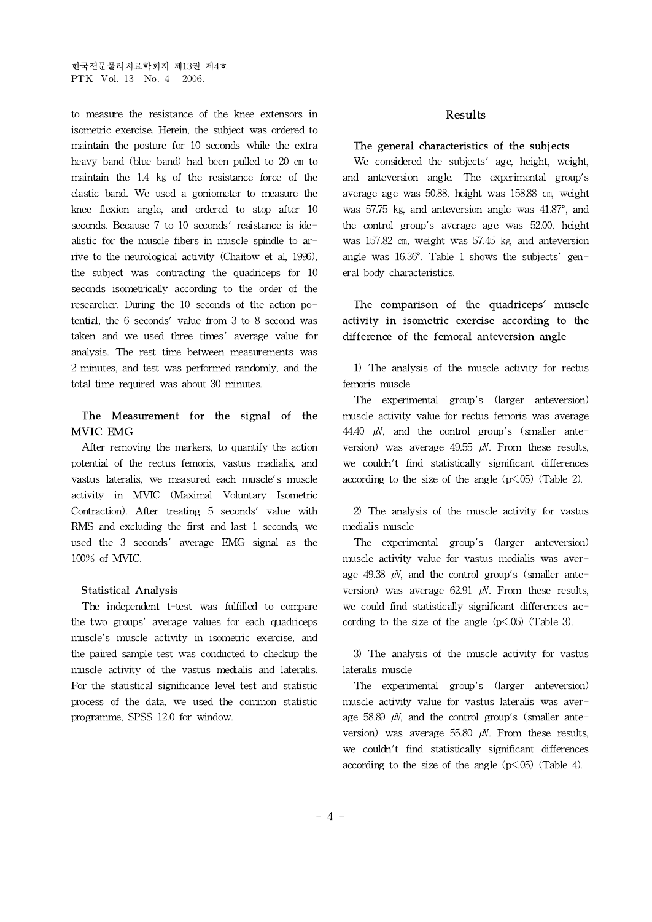to measure the resistance of the knee extensors in isometric exercise. Herein, the subject was ordered to maintain the posture for 10 seconds while the extra heavy band (blue band) had been pulled to 20 ㎝ to maintain the 1.4 ㎏ of the resistance force of the elastic band. We used a goniometer to measure the knee flexion angle, and ordered to stop after 10 seconds. Because 7 to 10 seconds' resistance is idealistic for the muscle fibers in muscle spindle to arrive to the neurological activity (Chaitow et al, 1996), the subject was contracting the quadriceps for 10 seconds isometrically according to the order of the researcher. During the 10 seconds of the action potential, the 6 seconds' value from 3 to 8 second was taken and we used three times' average value for analysis. The rest time between measurements was 2 minutes, and test was performed randomly, and the total time required was about 30 minutes.

## The Measurement for the signal of the MVIC EMG

After removing the markers, to quantify the action potential of the rectus femoris, vastus madialis, and vastus lateralis, we measured each muscle's muscle activity in MVIC (Maximal Voluntary Isometric Contraction). After treating 5 seconds' value with RMS and excluding the first and last 1 seconds, we used the 3 seconds' average EMG signal as the 100% of MVIC.

### Statistical Analysis

The independent t-test was fulfilled to compare the two groups' average values for each quadriceps muscle's muscle activity in isometric exercise, and the paired sample test was conducted to checkup the muscle activity of the vastus medialis and lateralis. For the statistical significance level test and statistic process of the data, we used the common statistic programme, SPSS 12.0 for window.

### Results

### The general characteristics of the subjects

We considered the subjects' age, height, weight, and anteversion angle. The experimental group's average age was 50.88, height was 158.88 ㎝, weight was 57.75 kg, and anteversion angle was 41.87°, and the control group's average age was 52.00, height was 157.82 cm, weight was 57.45 kg, and anteversion angle was 16.36°. Table 1 shows the subjects' general body characteristics.

## The comparison of the quadriceps' muscle activity in isometric exercise according to the difference of the femoral anteversion angle

1) The analysis of the muscle activity for rectus femoris muscle

The experimental group's (larger anteversion) muscle activity value for rectus femoris was average 44.40  $\mu$ V, and the control group's (smaller anteversion) was average 49.55  $\mu$ V. From these results, we couldn't find statistically significant differences according to the size of the angle  $(p<.05)$  (Table 2).

2) The analysis of the muscle activity for vastus medialis muscle

The experimental group's (larger anteversion) muscle activity value for vastus medialis was average 49.38  $\mu$ V, and the control group's (smaller anteversion) was average  $62.91 \mu$ . From these results, we could find statistically significant differences according to the size of the angle  $(p<.05)$  (Table 3).

3) The analysis of the muscle activity for vastus lateralis muscle

The experimental group's (larger anteversion) muscle activity value for vastus lateralis was average 58.89  $\mu$ V, and the control group's (smaller anteversion) was average 55.80  $\mu$ V. From these results, we couldn't find statistically significant differences according to the size of the angle  $(p<.05)$  (Table 4).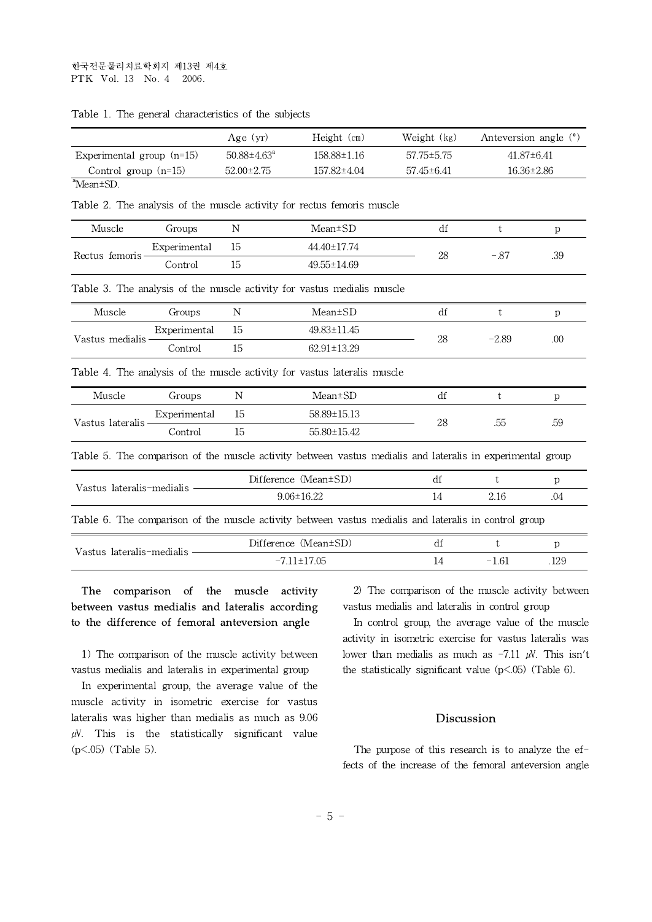|                             | Age (yr)                 | $Height$ (cm)     | Weight (kg) | Anteversion angle (°) |
|-----------------------------|--------------------------|-------------------|-------------|-----------------------|
| Experimental group $(n=15)$ | $50.88 \pm 4.63^{\circ}$ | $158.88 \pm 1.16$ | 57.75±5.75  | $41.87\pm 6.41$       |
| Control group $(n=15)$      | $52.00 \pm 2.75$         | 157.82±4.04       | 57.45±6.41  | 16.36±2.86            |
| <sup>a</sup> Mean±SD.       |                          |                   |             |                       |

| <b>Table 1.</b> The general characteristics of the subjects |  |  |  |
|-------------------------------------------------------------|--|--|--|
|-------------------------------------------------------------|--|--|--|

Table 2. The analysis of the muscle activity for rectus femoris muscle

| Muscle                    | Groups       | N                    | Mean±SD                                                                                                           | df | t       | р                |
|---------------------------|--------------|----------------------|-------------------------------------------------------------------------------------------------------------------|----|---------|------------------|
| Rectus femoris            | Experimental | 15                   | 44.40±17.74                                                                                                       |    | $-.87$  | .39              |
|                           | Control      | 15                   | 49.55±14.69                                                                                                       | 28 |         |                  |
|                           |              |                      | <b>Table 3.</b> The analysis of the muscle activity for vastus medialis muscle                                    |    |         |                  |
| Muscle                    | Groups       | N                    | Mean±SD                                                                                                           | df | t       | p                |
| Vastus medialis           | Experimental | 15                   | 49.83±11.45                                                                                                       |    | $-2.89$ | .00 <sub>0</sub> |
|                           | Control      | 15                   | $62.91 \pm 13.29$                                                                                                 | 28 |         |                  |
|                           |              |                      | <b>Table 4.</b> The analysis of the muscle activity for vastus lateralis muscle                                   |    |         |                  |
| Muscle                    | Groups       | N                    | Mean±SD                                                                                                           | df | t       | p                |
| Vastus lateralis          | Experimental | 15                   | 58.89±15.13                                                                                                       | 28 | .55     | .59              |
|                           | Control      | 15                   | 55.80±15.42                                                                                                       |    |         |                  |
|                           |              |                      | <b>Table 5.</b> The comparison of the muscle activity between vastus medialis and lateralis in experimental group |    |         |                  |
| Vastus lateralis-medialis |              | Difference (Mean±SD) |                                                                                                                   | df | t.      | p                |
|                           |              | $9.06 \pm 16.22$     |                                                                                                                   | 14 | 2.16    | .04              |
|                           |              |                      | Table 6. The comparison of the muscle activity between vastus medialis and lateralis in control group             |    |         |                  |
| Vastus lateralis-medialis |              | Difference (Mean±SD) |                                                                                                                   | df | t       | p                |
|                           |              | $-7.11 \pm 17.05$    |                                                                                                                   | 14 | $-1.61$ | .129             |

# The comparison of the muscle activity between vastus medialis and lateralis according to the difference of femoral anteversion angle

1) The comparison of the muscle activity between vastus medialis and lateralis in experimental group

In experimental group, the average value of the muscle activity in isometric exercise for vastus lateralis was higher than medialis as much as 9.06  $\mu$ . This is the statistically significant value (p<.05) (Table 5).

2) The comparison of the muscle activity between vastus medialis and lateralis in control group

In control group, the average value of the muscle activity in isometric exercise for vastus lateralis was lower than medialis as much as  $-7.11 \mu$ . This isn't the statistically significant value (p<.05) (Table 6).

## Discussion

The purpose of this research is to analyze the effects of the increase of the femoral anteversion angle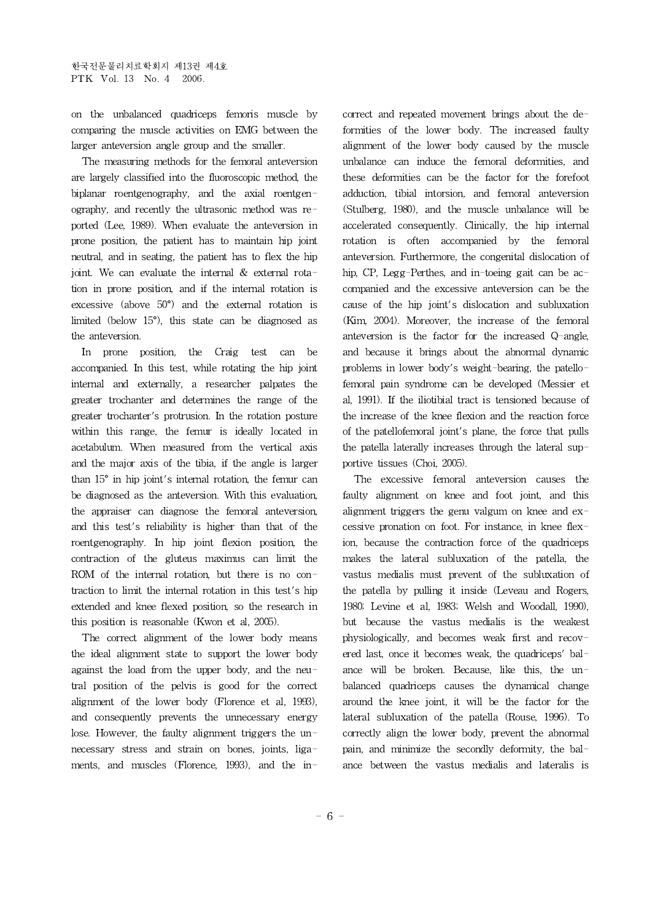on the unbalanced quadriceps femoris muscle by comparing the muscle activities on EMG between the larger anteversion angle group and the smaller.

The measuring methods for the femoral anteversion are largely classified into the fluoroscopic method, the biplanar roentgenography, and the axial roentgenography, and recently the ultrasonic method was reported (Lee, 1989). When evaluate the anteversion in prone position, the patient has to maintain hip joint neutral, and in seating, the patient has to flex the hip joint. We can evaluate the internal  $&$  external rotation in prone position, and if the internal rotation is excessive (above 50°) and the external rotation is limited (below 15°), this state can be diagnosed as the anteversion.

In prone position, the Craig test can be accompanied. In this test, while rotating the hip joint internal and externally, a researcher palpates the greater trochanter and determines the range of the greater trochanter's protrusion. In the rotation posture within this range, the femur is ideally located in acetabulum. When measured from the vertical axis and the major axis of the tibia, if the angle is larger than 15° in hip joint's internal rotation, the femur can be diagnosed as the anteversion. With this evaluation, the appraiser can diagnose the femoral anteversion, and this test's reliability is higher than that of the roentgenography. In hip joint flexion position, the contraction of the gluteus maximus can limit the ROM of the internal rotation, but there is no contraction to limit the internal rotation in this test's hip extended and knee flexed position, so the research in this position is reasonable (Kwon et al, 2005).

The correct alignment of the lower body means the ideal alignment state to support the lower body against the load from the upper body, and the neutral position of the pelvis is good for the correct alignment of the lower body (Florence et al, 1993), and consequently prevents the unnecessary energy lose. However, the faulty alignment triggers the unnecessary stress and strain on bones, joints, ligaments, and muscles (Florence, 1993), and the incorrect and repeated movement brings about the deformities of the lower body. The increased faulty alignment of the lower body caused by the muscle unbalance can induce the femoral deformities, and these deformities can be the factor for the forefoot adduction, tibial intorsion, and femoral anteversion (Stulberg, 1980), and the muscle unbalance will be accelerated consequently. Clinically, the hip internal rotation is often accompanied by the femoral anteversion. Furthermore, the congenital dislocation of hip, CP, Legg-Perthes, and in-toeing gait can be accompanied and the excessive anteversion can be the cause of the hip joint's dislocation and subluxation (Kim, 2004). Moreover, the increase of the femoral anteversion is the factor for the increased Q-angle, and because it brings about the abnormal dynamic problems in lower body's weight-bearing, the patellofemoral pain syndrome can be developed (Messier et al, 1991). If the iliotibial tract is tensioned because of the increase of the knee flexion and the reaction force of the patellofemoral joint's plane, the force that pulls the patella laterally increases through the lateral supportive tissues (Choi, 2005).

The excessive femoral anteversion causes the faulty alignment on knee and foot joint, and this alignment triggers the genu valgum on knee and excessive pronation on foot. For instance, in knee flexion, because the contraction force of the quadriceps makes the lateral subluxation of the patella, the vastus medialis must prevent of the subluxation of the patella by pulling it inside (Leveau and Rogers, 1980; Levine et al, 1983; Welsh and Woodall, 1990), but because the vastus medialis is the weakest physiologically, and becomes weak first and recovered last, once it becomes weak, the quadriceps' balance will be broken. Because, like this, the unbalanced quadriceps causes the dynamical change around the knee joint, it will be the factor for the lateral subluxation of the patella (Rouse, 1996). To correctly align the lower body, prevent the abnormal pain, and minimize the secondly deformity, the balance between the vastus medialis and lateralis is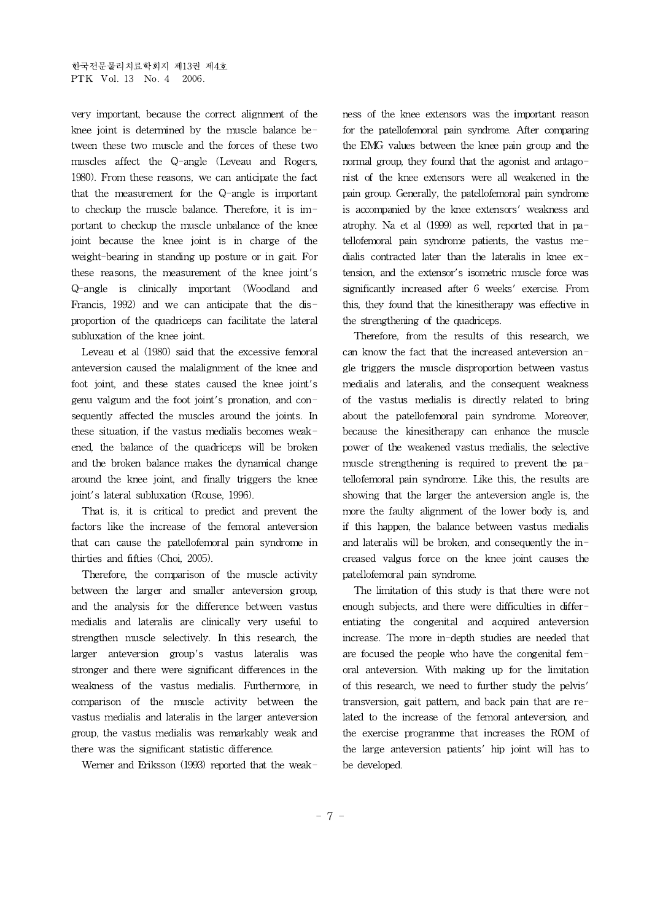very important, because the correct alignment of the knee joint is determined by the muscle balance between these two muscle and the forces of these two muscles affect the Q-angle (Leveau and Rogers, 1980). From these reasons, we can anticipate the fact that the measurement for the Q-angle is important to checkup the muscle balance. Therefore, it is important to checkup the muscle unbalance of the knee joint because the knee joint is in charge of the weight-bearing in standing up posture or in gait. For these reasons, the measurement of the knee joint's Q-angle is clinically important (Woodland and Francis, 1992) and we can anticipate that the disproportion of the quadriceps can facilitate the lateral subluxation of the knee joint.

Leveau et al (1980) said that the excessive femoral anteversion caused the malalignment of the knee and foot joint, and these states caused the knee joint's genu valgum and the foot joint's pronation, and consequently affected the muscles around the joints. In these situation, if the vastus medialis becomes weakened, the balance of the quadriceps will be broken and the broken balance makes the dynamical change around the knee joint, and finally triggers the knee joint's lateral subluxation (Rouse, 1996).

That is, it is critical to predict and prevent the factors like the increase of the femoral anteversion that can cause the patellofemoral pain syndrome in thirties and fifties (Choi, 2005).

Therefore, the comparison of the muscle activity between the larger and smaller anteversion group, and the analysis for the difference between vastus medialis and lateralis are clinically very useful to strengthen muscle selectively. In this research, the larger anteversion group's vastus lateralis was stronger and there were significant differences in the weakness of the vastus medialis. Furthermore, in comparison of the muscle activity between the vastus medialis and lateralis in the larger anteversion group, the vastus medialis was remarkably weak and there was the significant statistic difference.

Werner and Eriksson (1993) reported that the weak-

ness of the knee extensors was the important reason for the patellofemoral pain syndrome. After comparing the EMG values between the knee pain group and the normal group, they found that the agonist and antagonist of the knee extensors were allweakened in the pain group. Generally, the patellofemoral pain syndrome is accompanied by the knee extensors' weakness and atrophy. Na et al (1999) as well, reported that in patellofemoral pain syndrome patients, the vastus medialis contracted later than the lateralis in knee extension, and the extensor's isometric muscle force was significantly increased after 6 weeks' exercise. From this, they found that the kinesitherapy was effective in the strengthening of the quadriceps.

Therefore, from the results of this research, we can know the fact that the increased anteversion angle triggers the muscle disproportion between vastus medialis and lateralis, and the consequent weakness of the vastus medialis is directly related to bring about the patellofemoral pain syndrome. Moreover, because the kinesitherapy can enhance the muscle power of the weakened vastus medialis, the selective muscle strengthening is required to prevent the patellofemoral pain syndrome. Like this, the results are showing that the larger the anteversion angle is, the more the faulty alignment of the lower body is, and if this happen, the balance between vastus medialis and lateralis will be broken, and consequently the increased valgus force on the knee joint causes the patellofemoral pain syndrome.

The limitation of this study is that there were not enough subjects, and there were difficulties in differentiating the congenital and acquired anteversion increase. The more in-depth studies are needed that are focused the people who have the congenital femoral anteversion. With making up for the limitation of this research, we need to further study the pelvis' transversion, gait pattern, and back pain that are related to the increase of the femoral anteversion, and the exercise programme that increases the ROM of the large anteversion patients' hip joint will has to be developed.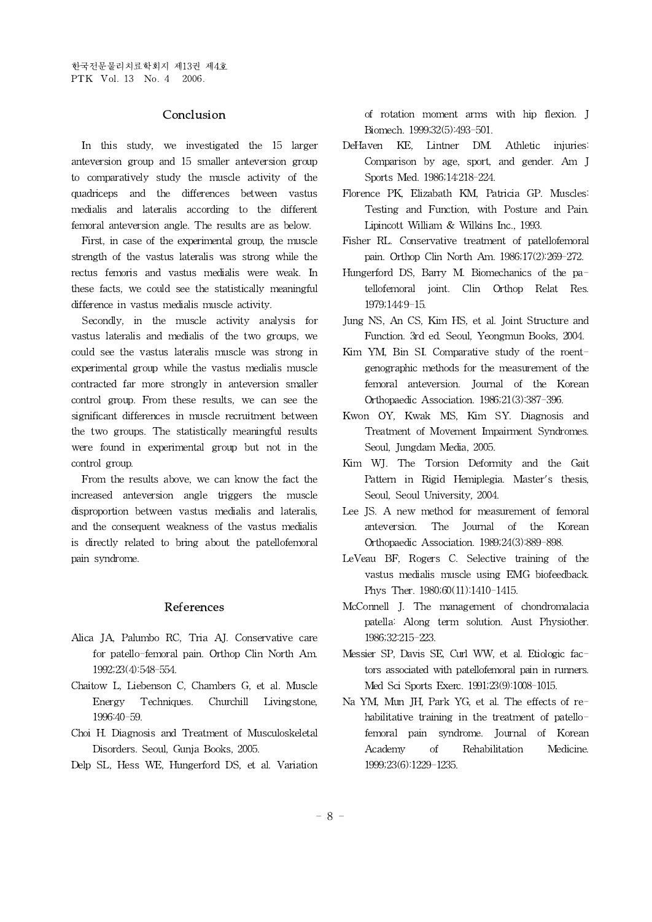### Conclusion

In this study, we investigated the 15 larger DeHaven KE, anteversion group and 15 smaller anteversion group to comparatively study the muscle activity of the quadriceps and the differences between vastus medialis and lateralis according to the different femoral anteversion angle. The results are as below.

First, in case of the experimental group, the muscle strength of the vastus lateralis was strong while the rectus femoris and vastus medialis were weak. In these facts, we could see the statistically meaningful difference in vastus medialis muscle activity.

Secondly, in the muscle activity analysis for vastus lateralis and medialis of the two groups, we could see the vastus lateralis muscle was strong in experimental group while the vastus medialis muscle contracted far more strongly in anteversion smaller control group. From these results, we can see the significant differences in muscle recruitment between the two groups. The statistically meaningful results were found in experimental group but not in the control group.

From the results above, we can know the fact the increased anteversion angle triggers the muscle disproportion between vastus medialis and lateralis, and the consequent weakness of the vastus medialis is directly related to bring about the patellofemoral pain syndrome.

#### References

- Alica JA, Palumbo RC, Tria AJ. Conservative care for patello-femoral pain. Orthop Clin North Am. 1992;23(4):548-554.
- Chaitow L, Liebenson C, Chambers G, et al. Muscle Energy Techniques. Churchill Livingstone, 1996:40-59.
- Choi H. Diagnosis and Treatment of Musculoskeletal Disorders. Seoul, Gunja Books, 2005.
- Delp SL, Hess WE, Hungerford DS, et al. Variation

of rotation moment arms with hip flexion. J Biomech. 1999;32(5):493-501.

- Lintner DM. Athletic injuries: Comparison by age, sport, and gender. Am J Sports Med. 1986;14:218-224.
- Florence PK, Elizabath KM, Patricia GP. Muscles: Testing and Function, with Posture and Pain. Lipincott William & Wilkins Inc., 1993.
- Fisher RL. Conservative treatment of patellofemoral pain. Orthop Clin North Am. 1986;17(2):269-272.
- Hungerford DS, Barry M. Biomechanics of the patellofemoral joint. Clin Orthop Relat Res. 1979;144:9-15.
- Jung NS, An CS, Kim HS, et al. Joint Structure and Function. 3rd ed. Seoul, Yeongmun Books, 2004.
- Kim YM, Bin SI. Comparative study of the roentgenographic methods for the measurement of the femoral anteversion. Journal of the Korean Orthopaedic Association. 1986;21(3):387-396.
- Kwon OY, Kwak MS, Kim SY. Diagnosis and Treatment of Movement Impairment Syndromes. Seoul, Jungdam Media, 2005.
- Kim WJ. The Torsion Deformity and the Gait Pattern in Rigid Hemiplegia. Master's thesis, Seoul, Seoul University, 2004.
- Lee JS. A new method for measurement of femoral anteversion. The Journal of the Korean Orthopaedic Association. 1989;24(3):889-898.
- LeVeau BF, Rogers C. Selective training of the vastus medialis muscle using EMG biofeedback. Phys Ther. 1980;60(11):1410-1415.
- McConnell J. The management of chondromalacia patella: Along term solution. Aust Physiother. 1986;32:215-223.
- Messier SP, Davis SE, Curl WW, et al. Etiologic factors associated with patellofemoral pain in runners. Med Sci Sports Exerc. 1991;23(9):1008-1015.
- Na YM, Mun JH, Park YG, et al. The effects of rehabilitative training in the treatment of patellofemoral pain syndrome. Journal of Korean Academy of Rehabilitation Medicine. 1999;23(6):1229-1235.